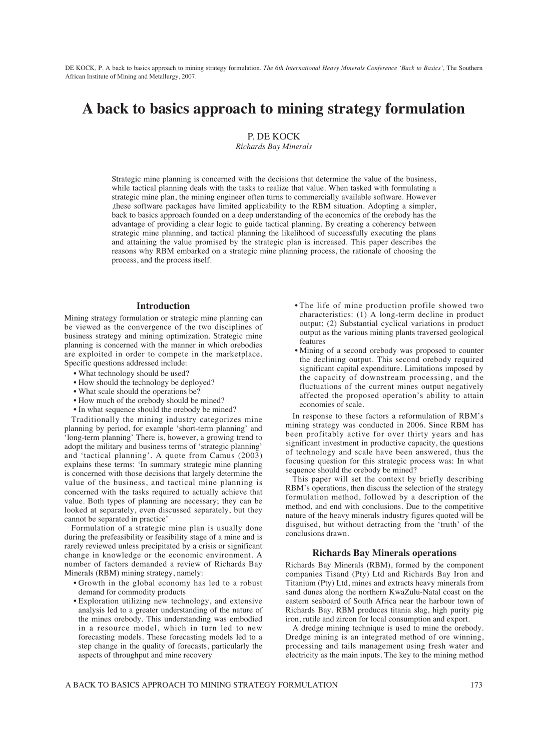DE KOCK, P. A back to basics approach to mining strategy formulation. *The 6th International Heavy Minerals Conference 'Back to Basics',* The Southern African Institute of Mining and Metallurgy, 2007.

# **A back to basics approach to mining strategy formulation**

P. DE KOCK

*Richards Bay Minerals*

Strategic mine planning is concerned with the decisions that determine the value of the business, while tactical planning deals with the tasks to realize that value. When tasked with formulating a strategic mine plan, the mining engineer often turns to commercially available software. However ,these software packages have limited applicability to the RBM situation. Adopting a simpler, back to basics approach founded on a deep understanding of the economics of the orebody has the advantage of providing a clear logic to guide tactical planning. By creating a coherency between strategic mine planning, and tactical planning the likelihood of successfully executing the plans and attaining the value promised by the strategic plan is increased. This paper describes the reasons why RBM embarked on a strategic mine planning process, the rationale of choosing the process, and the process itself.

#### **Introduction**

Mining strategy formulation or strategic mine planning can be viewed as the convergence of the two disciplines of business strategy and mining optimization. Strategic mine planning is concerned with the manner in which orebodies are exploited in order to compete in the marketplace. Specific questions addressed include:

- What technology should be used?
- How should the technology be deployed?
- What scale should the operations be?
- How much of the orebody should be mined?
- In what sequence should the orebody be mined?

Traditionally the mining industry categorizes mine planning by period, for example 'short-term planning' and 'long-term planning' There is, however, a growing trend to adopt the military and business terms of 'strategic planning' and 'tactical planning'. A quote from Camus (2003) explains these terms: 'In summary strategic mine planning is concerned with those decisions that largely determine the value of the business, and tactical mine planning is concerned with the tasks required to actually achieve that value. Both types of planning are necessary; they can be looked at separately, even discussed separately, but they cannot be separated in practice'

Formulation of a strategic mine plan is usually done during the prefeasibility or feasibility stage of a mine and is rarely reviewed unless precipitated by a crisis or significant change in knowledge or the economic environment. A number of factors demanded a review of Richards Bay Minerals (RBM) mining strategy, namely:

- Growth in the global economy has led to a robust demand for commodity products
- Exploration utilizing new technology, and extensive analysis led to a greater understanding of the nature of the mines orebody. This understanding was embodied in a resource model, which in turn led to new forecasting models. These forecasting models led to a step change in the quality of forecasts, particularly the aspects of throughput and mine recovery
- The life of mine production profile showed two characteristics: (1) A long-term decline in product output; (2) Substantial cyclical variations in product output as the various mining plants traversed geological features
- Mining of a second orebody was proposed to counter the declining output. This second orebody required significant capital expenditure. Limitations imposed by the capacity of downstream processing, and the fluctuations of the current mines output negatively affected the proposed operation's ability to attain economies of scale.

In response to these factors a reformulation of RBM's mining strategy was conducted in 2006. Since RBM has been profitably active for over thirty years and has significant investment in productive capacity, the questions of technology and scale have been answered, thus the focusing question for this strategic process was: In what sequence should the orebody be mined?

This paper will set the context by briefly describing RBM's operations, then discuss the selection of the strategy formulation method, followed by a description of the method, and end with conclusions. Due to the competitive nature of the heavy minerals industry figures quoted will be disguised, but without detracting from the 'truth' of the conclusions drawn.

## **Richards Bay Minerals operations**

Richards Bay Minerals (RBM), formed by the component companies Tisand (Pty) Ltd and Richards Bay Iron and Titanium (Pty) Ltd, mines and extracts heavy minerals from sand dunes along the northern KwaZulu-Natal coast on the eastern seaboard of South Africa near the harbour town of Richards Bay. RBM produces titania slag, high purity pig iron, rutile and zircon for local consumption and export.

A dredge mining technique is used to mine the orebody. Dredge mining is an integrated method of ore winning, processing and tails management using fresh water and electricity as the main inputs. The key to the mining method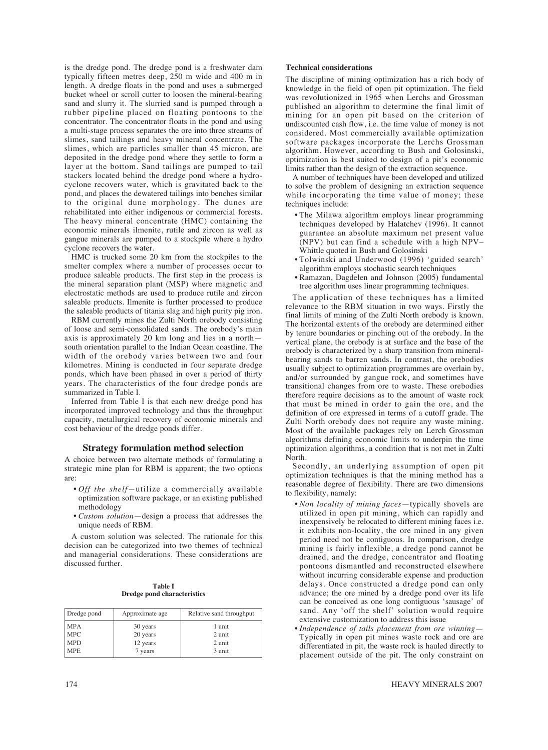is the dredge pond. The dredge pond is a freshwater dam typically fifteen metres deep, 250 m wide and 400 m in length. A dredge floats in the pond and uses a submerged bucket wheel or scroll cutter to loosen the mineral-bearing sand and slurry it. The slurried sand is pumped through a rubber pipeline placed on floating pontoons to the concentrator. The concentrator floats in the pond and using a multi-stage process separates the ore into three streams of slimes, sand tailings and heavy mineral concentrate. The slimes, which are particles smaller than 45 micron, are deposited in the dredge pond where they settle to form a layer at the bottom. Sand tailings are pumped to tail stackers located behind the dredge pond where a hydrocyclone recovers water, which is gravitated back to the pond, and places the dewatered tailings into benches similar to the original dune morphology. The dunes are rehabilitated into either indigenous or commercial forests. The heavy mineral concentrate (HMC) containing the economic minerals ilmenite, rutile and zircon as well as gangue minerals are pumped to a stockpile where a hydro cyclone recovers the water.

HMC is trucked some 20 km from the stockpiles to the smelter complex where a number of processes occur to produce saleable products. The first step in the process is the mineral separation plant (MSP) where magnetic and electrostatic methods are used to produce rutile and zircon saleable products. Ilmenite is further processed to produce the saleable products of titania slag and high purity pig iron.

RBM currently mines the Zulti North orebody consisting of loose and semi-consolidated sands. The orebody's main axis is approximately 20 km long and lies in a north south orientation parallel to the Indian Ocean coastline. The width of the orebody varies between two and four kilometres. Mining is conducted in four separate dredge ponds, which have been phased in over a period of thirty years. The characteristics of the four dredge ponds are summarized in Table I.

Inferred from Table I is that each new dredge pond has incorporated improved technology and thus the throughput capacity, metallurgical recovery of economic minerals and cost behaviour of the dredge ponds differ.

## **Strategy formulation method selection**

A choice between two alternate methods of formulating a strategic mine plan for RBM is apparent; the two options are:

- *Off the shelf—*utilize a commercially available optimization software package, or an existing published methodology
- *Custom solution*—design a process that addresses the unique needs of RBM.

A custom solution was selected. The rationale for this decision can be categorized into two themes of technical and managerial considerations. These considerations are discussed further.

| Table I |  |                                    |  |  |
|---------|--|------------------------------------|--|--|
|         |  | <b>Dredge pond characteristics</b> |  |  |

| Dredge pond | Approximate age | Relative sand throughput |  |
|-------------|-----------------|--------------------------|--|
| <b>MPA</b>  | 30 years        | 1 unit                   |  |
| <b>MPC</b>  | 20 years        | 2 unit                   |  |
| <b>MPD</b>  | 12 years        | 2 unit                   |  |
| <b>MPE</b>  | 7 years         | 3 unit                   |  |

#### **Technical considerations**

The discipline of mining optimization has a rich body of knowledge in the field of open pit optimization. The field was revolutionized in 1965 when Lerchs and Grossman published an algorithm to determine the final limit of mining for an open pit based on the criterion of undiscounted cash flow, i.e. the time value of money is not considered. Most commercially available optimization software packages incorporate the Lerchs Grossman algorithm. However, according to Bush and Golosinski, optimization is best suited to design of a pit's economic limits rather than the design of the extraction sequence.

A number of techniques have been developed and utilized to solve the problem of designing an extraction sequence while incorporating the time value of money; these techniques include:

- The Milawa algorithm employs linear programming techniques developed by Halatchev (1996). It cannot guarantee an absolute maximum net present value (NPV) but can find a schedule with a high NPV– Whittle quoted in Bush and Golosinski
- Tolwinski and Underwood (1996) 'guided search' algorithm employs stochastic search techniques
- Ramazan, Dagdelen and Johnson (2005) fundamental tree algorithm uses linear programming techniques.

The application of these techniques has a limited relevance to the RBM situation in two ways. Firstly the final limits of mining of the Zulti North orebody is known. The horizontal extents of the orebody are determined either by tenure boundaries or pinching out of the orebody. In the vertical plane, the orebody is at surface and the base of the orebody is characterized by a sharp transition from mineralbearing sands to barren sands. In contrast, the orebodies usually subject to optimization programmes are overlain by, and/or surrounded by gangue rock, and sometimes have transitional changes from ore to waste. These orebodies therefore require decisions as to the amount of waste rock that must be mined in order to gain the ore, and the definition of ore expressed in terms of a cutoff grade. The Zulti North orebody does not require any waste mining. Most of the available packages rely on Lerch Grossman algorithms defining economic limits to underpin the time optimization algorithms, a condition that is not met in Zulti North.

Secondly, an underlying assumption of open pit optimization techniques is that the mining method has a reasonable degree of flexibility. There are two dimensions to flexibility, namely:

- *Non locality of mining faces*—typically shovels are utilized in open pit mining, which can rapidly and inexpensively be relocated to different mining faces i.e. it exhibits non-locality, the ore mined in any given period need not be contiguous. In comparison, dredge mining is fairly inflexible, a dredge pond cannot be drained, and the dredge, concentrator and floating pontoons dismantled and reconstructed elsewhere without incurring considerable expense and production delays. Once constructed a dredge pond can only advance; the ore mined by a dredge pond over its life can be conceived as one long contiguous 'sausage' of sand. Any 'off the shelf' solution would require extensive customization to address this issue
- *Independence of tails placement from ore winning* Typically in open pit mines waste rock and ore are differentiated in pit, the waste rock is hauled directly to placement outside of the pit. The only constraint on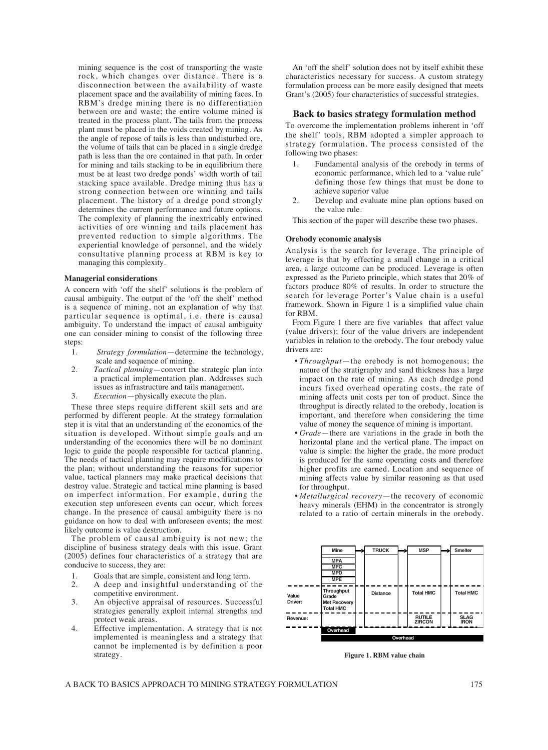mining sequence is the cost of transporting the waste rock, which changes over distance. There is a disconnection between the availability of waste placement space and the availability of mining faces. In RBM's dredge mining there is no differentiation between ore and waste; the entire volume mined is treated in the process plant. The tails from the process plant must be placed in the voids created by mining. As the angle of repose of tails is less than undisturbed ore, the volume of tails that can be placed in a single dredge path is less than the ore contained in that path. In order for mining and tails stacking to be in equilibrium there must be at least two dredge ponds' width worth of tail stacking space available. Dredge mining thus has a strong connection between ore winning and tails placement. The history of a dredge pond strongly determines the current performance and future options. The complexity of planning the inextricably entwined activities of ore winning and tails placement has prevented reduction to simple algorithms. The experiential knowledge of personnel, and the widely consultative planning process at RBM is key to managing this complexity.

# **Managerial considerations**

A concern with 'off the shelf' solutions is the problem of causal ambiguity. The output of the 'off the shelf' method is a sequence of mining, not an explanation of why that particular sequence is optimal, i.e. there is causal ambiguity. To understand the impact of causal ambiguity one can consider mining to consist of the following three steps:

- 1. *Strategy formulation*—determine the technology, scale and sequence of mining.
- 2. *Tactical planning*—convert the strategic plan into a practical implementation plan. Addresses such issues as infrastructure and tails management.
- 3. *Execution*—physically execute the plan.

These three steps require different skill sets and are performed by different people. At the strategy formulation step it is vital that an understanding of the economics of the situation is developed. Without simple goals and an understanding of the economics there will be no dominant logic to guide the people responsible for tactical planning. The needs of tactical planning may require modifications to the plan; without understanding the reasons for superior value, tactical planners may make practical decisions that destroy value. Strategic and tactical mine planning is based on imperfect information. For example, during the execution step unforeseen events can occur, which forces change. In the presence of causal ambiguity there is no guidance on how to deal with unforeseen events; the most likely outcome is value destruction.

The problem of causal ambiguity is not new; the discipline of business strategy deals with this issue. Grant (2005) defines four characteristics of a strategy that are conducive to success, they are:

- 
- 1. Goals that are simple, consistent and long term.<br>2. A deep and insightful understanding of 2. A deep and insightful understanding of the competitive environment.
- 3. An objective appraisal of resources. Successful strategies generally exploit internal strengths and protect weak areas.
- 4. Effective implementation. A strategy that is not implemented is meaningless and a strategy that cannot be implemented is by definition a poor strategy.

An 'off the shelf' solution does not by itself exhibit these characteristics necessary for success. A custom strategy formulation process can be more easily designed that meets Grant's (2005) four characteristics of successful strategies.

#### **Back to basics strategy formulation method**

To overcome the implementation problems inherent in 'off the shelf' tools, RBM adopted a simpler approach to strategy formulation. The process consisted of the following two phases:

- 1. Fundamental analysis of the orebody in terms of economic performance, which led to a 'value rule' defining those few things that must be done to achieve superior value
- 2. Develop and evaluate mine plan options based on the value rule.

This section of the paper will describe these two phases.

#### **Orebody economic analysis**

Analysis is the search for leverage. The principle of leverage is that by effecting a small change in a critical area, a large outcome can be produced. Leverage is often expressed as the Parieto principle, which states that 20% of factors produce 80% of results. In order to structure the search for leverage Porter's Value chain is a useful framework. Shown in Figure 1 is a simplified value chain for RBM.

From Figure 1 there are five variables that affect value (value drivers); four of the value drivers are independent variables in relation to the orebody. The four orebody value drivers are:

- *Throughput*—the orebody is not homogenous; the nature of the stratigraphy and sand thickness has a large impact on the rate of mining. As each dredge pond incurs fixed overhead operating costs, the rate of mining affects unit costs per ton of product. Since the throughput is directly related to the orebody, location is important, and therefore when considering the time value of money the sequence of mining is important.
- *Grade*—there are variations in the grade in both the horizontal plane and the vertical plane. The impact on value is simple: the higher the grade, the more product is produced for the same operating costs and therefore higher profits are earned. Location and sequence of mining affects value by similar reasoning as that used for throughput.
- *Metallurgical recovery*—the recovery of economic heavy minerals (EHM) in the concentrator is strongly related to a ratio of certain minerals in the orebody.



**Figure 1. RBM value chain**

A BACK TO BASICS APPROACH TO MINING STRATEGY FORMULATION 175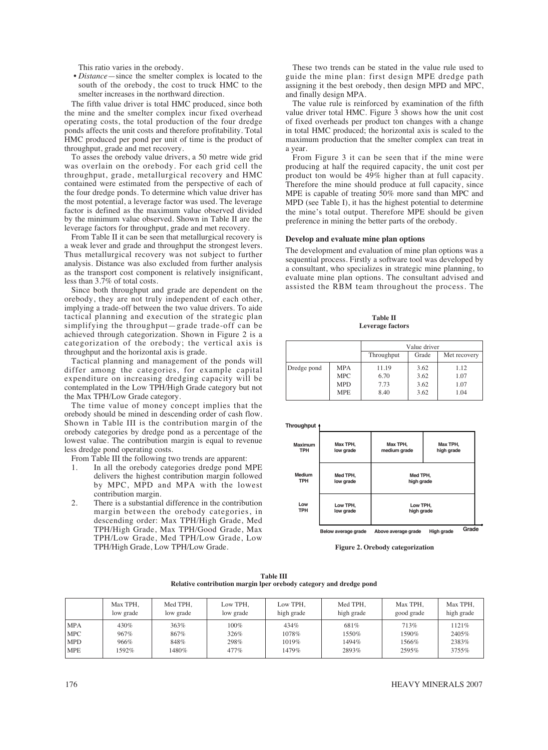This ratio varies in the orebody.

• *Distance*—since the smelter complex is located to the south of the orebody, the cost to truck HMC to the smelter increases in the northward direction.

The fifth value driver is total HMC produced, since both the mine and the smelter complex incur fixed overhead operating costs, the total production of the four dredge ponds affects the unit costs and therefore profitability. Total HMC produced per pond per unit of time is the product of throughput, grade and met recovery.

To asses the orebody value drivers, a 50 metre wide grid was overlain on the orebody. For each grid cell the throughput, grade, metallurgical recovery and HMC contained were estimated from the perspective of each of the four dredge ponds. To determine which value driver has the most potential, a leverage factor was used. The leverage factor is defined as the maximum value observed divided by the minimum value observed. Shown in Table II are the leverage factors for throughput, grade and met recovery.

From Table II it can be seen that metallurgical recovery is a weak lever and grade and throughput the strongest levers. Thus metallurgical recovery was not subject to further analysis. Distance was also excluded from further analysis as the transport cost component is relatively insignificant, less than 3.7% of total costs.

Since both throughput and grade are dependent on the orebody, they are not truly independent of each other, implying a trade-off between the two value drivers. To aide tactical planning and execution of the strategic plan simplifying the throughput—grade trade-off can be achieved through categorization. Shown in Figure 2 is a categorization of the orebody; the vertical axis is throughput and the horizontal axis is grade.

Tactical planning and management of the ponds will differ among the categories, for example capital expenditure on increasing dredging capacity will be contemplated in the Low TPH/High Grade category but not the Max TPH/Low Grade category.

The time value of money concept implies that the orebody should be mined in descending order of cash flow. Shown in Table III is the contribution margin of the orebody categories by dredge pond as a percentage of the lowest value. The contribution margin is equal to revenue less dredge pond operating costs.

From Table III the following two trends are apparent:

- 1. In all the orebody categories dredge pond MPE delivers the highest contribution margin followed by MPC, MPD and MPA with the lowest contribution margin.
- 2. There is a substantial difference in the contribution margin between the orebody categories, in descending order: Max TPH/High Grade, Med TPH/High Grade, Max TPH/Good Grade, Max TPH/Low Grade, Med TPH/Low Grade, Low TPH/High Grade, Low TPH/Low Grade.

These two trends can be stated in the value rule used to guide the mine plan: first design MPE dredge path assigning it the best orebody, then design MPD and MPC, and finally design MPA.

The value rule is reinforced by examination of the fifth value driver total HMC. Figure 3 shows how the unit cost of fixed overheads per product ton changes with a change in total HMC produced; the horizontal axis is scaled to the maximum production that the smelter complex can treat in a year.

From Figure 3 it can be seen that if the mine were producing at half the required capacity, the unit cost per product ton would be 49% higher than at full capacity. Therefore the mine should produce at full capacity, since MPE is capable of treating 50% more sand than MPC and MPD (see Table I), it has the highest potential to determine the mine's total output. Therefore MPE should be given preference in mining the better parts of the orebody.

#### **Develop and evaluate mine plan options**

The development and evaluation of mine plan options was a sequential process. Firstly a software tool was developed by a consultant, who specializes in strategic mine planning, to evaluate mine plan options. The consultant advised and assisted the RBM team throughout the process. The

**Table II Leverage factors**

|             |            | Value driver                        |      |      |  |
|-------------|------------|-------------------------------------|------|------|--|
|             |            | Grade<br>Throughput<br>Met recovery |      |      |  |
| Dredge pond | <b>MPA</b> | 11.19                               | 3.62 | 1.12 |  |
|             | <b>MPC</b> | 6.70                                | 3.62 | 1.07 |  |
|             | <b>MPD</b> | 7.73                                | 3.62 | 1.07 |  |
|             | <b>MPE</b> | 8.40                                | 3.62 | 1.04 |  |

**Throughput**

| Maximum<br><b>TPH</b> | Max TPH.<br>low grade | Max TPH.<br>Max TPH.<br>medium grade<br>high grade |            |       |  |
|-----------------------|-----------------------|----------------------------------------------------|------------|-------|--|
| Medium                | Med TPH,              | Med TPH,                                           |            |       |  |
| <b>TPH</b>            | low grade             | high grade                                         |            |       |  |
| Low                   | Low TPH,              | Low TPH,                                           |            |       |  |
| <b>TPH</b>            | low grade             | high grade                                         |            |       |  |
|                       | Below average grade   | Above average grade                                | High grade | Grade |  |

**Figure 2. Orebody categorization**

| <b>Table III</b>                                                   |  |  |  |  |
|--------------------------------------------------------------------|--|--|--|--|
| Relative contribution margin lper orebody category and dredge pond |  |  |  |  |

|            | Max TPH.<br>low grade | Med TPH,<br>low grade | Low TPH.<br>low grade | Low TPH.<br>high grade | Med TPH.<br>high grade | Max TPH,<br>good grade | Max TPH,<br>high grade |
|------------|-----------------------|-----------------------|-----------------------|------------------------|------------------------|------------------------|------------------------|
| MPA        | 430%                  | 363%                  | 100%                  | 434%                   | 681%                   | 713%                   | 1121%                  |
| <b>MPC</b> | 967%                  | 867%                  | 326%                  | 1078%                  | 1550%                  | 1590%                  | 2405%                  |
| <b>MPD</b> | 966%                  | 848%                  | 298%                  | 1019%                  | 1494%                  | 1566%                  | 2383%                  |
| <b>MPE</b> | 1592%                 | 1480%                 | 477%                  | 1479%                  | 2893%                  | 2595%                  | 3755%                  |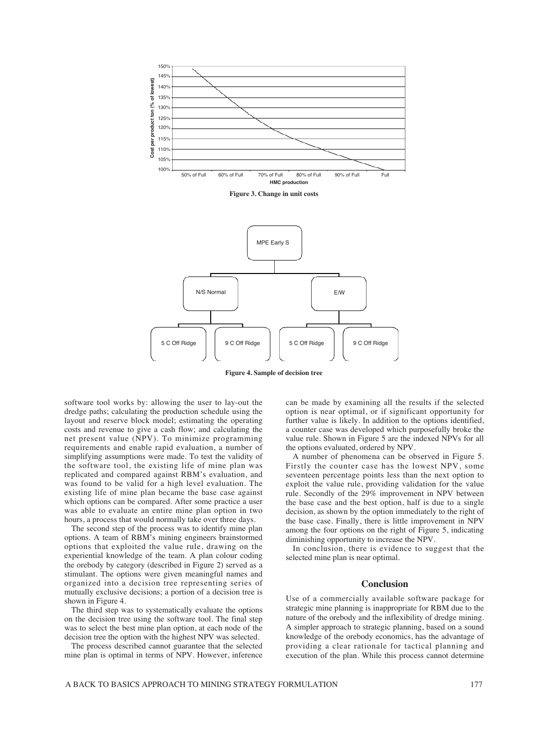

**Figure 3. Change in unit costs**



**Figure 4. Sample of decision tree**

software tool works by: allowing the user to lay-out the dredge paths; calculating the production schedule using the layout and reserve block model; estimating the operating costs and revenue to give a cash flow; and calculating the net present value (NPV). To minimize programming requirements and enable rapid evaluation, a number of simplifying assumptions were made. To test the validity of the software tool, the existing life of mine plan was replicated and compared against RBM's evaluation, and was found to be valid for a high level evaluation. The existing life of mine plan became the base case against which options can be compared. After some practice a user was able to evaluate an entire mine plan option in two hours, a process that would normally take over three days.

The second step of the process was to identify mine plan options. A team of RBM's mining engineers brainstormed options that exploited the value rule, drawing on the experiential knowledge of the team. A plan colour coding the orebody by category (described in Figure 2) served as a stimulant. The options were given meaningful names and organized into a decision tree representing series of mutually exclusive decisions; a portion of a decision tree is shown in Figure 4.

The third step was to systematically evaluate the options on the decision tree using the software tool. The final step was to select the best mine plan option, at each node of the decision tree the option with the highest NPV was selected.

The process described cannot guarantee that the selected mine plan is optimal in terms of NPV. However, inference can be made by examining all the results if the selected option is near optimal, or if significant opportunity for further value is likely. In addition to the options identified, a counter case was developed which purposefully broke the value rule. Shown in Figure 5 are the indexed NPVs for all the options evaluated, ordered by NPV.

A number of phenomena can be observed in Figure 5. Firstly the counter case has the lowest NPV, some seventeen percentage points less than the next option to exploit the value rule, providing validation for the value rule. Secondly of the 29% improvement in NPV between the base case and the best option, half is due to a single decision, as shown by the option immediately to the right of the base case. Finally, there is little improvement in NPV among the four options on the right of Figure 5, indicating diminishing opportunity to increase the NPV.

In conclusion, there is evidence to suggest that the selected mine plan is near optimal.

#### **Conclusion**

Use of a commercially available software package for strategic mine planning is inappropriate for RBM due to the nature of the orebody and the inflexibility of dredge mining. A simpler approach to strategic planning, based on a sound knowledge of the orebody economics, has the advantage of providing a clear rationale for tactical planning and execution of the plan. While this process cannot determine